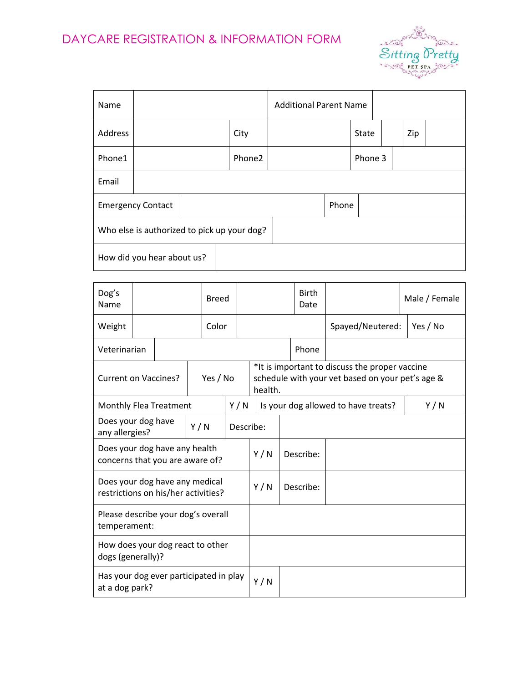

| Name                                        |  |  |        | <b>Additional Parent Name</b> |              |         |     |  |  |
|---------------------------------------------|--|--|--------|-------------------------------|--------------|---------|-----|--|--|
| Address                                     |  |  | City   |                               | <b>State</b> |         | Zip |  |  |
| Phone1                                      |  |  | Phone2 |                               |              | Phone 3 |     |  |  |
| Email                                       |  |  |        |                               |              |         |     |  |  |
| <b>Emergency Contact</b>                    |  |  |        |                               | Phone        |         |     |  |  |
| Who else is authorized to pick up your dog? |  |  |        |                               |              |         |     |  |  |
| How did you hear about us?                  |  |  |        |                               |              |         |     |  |  |

| Dog's<br>Name                                                         | <b>Breed</b> |       |     |          |     |                                     | <b>Birth</b><br>Date                                                                                          |                  | Male / Female |     |  |  |  |
|-----------------------------------------------------------------------|--------------|-------|-----|----------|-----|-------------------------------------|---------------------------------------------------------------------------------------------------------------|------------------|---------------|-----|--|--|--|
| Weight                                                                |              | Color |     |          |     |                                     |                                                                                                               | Spayed/Neutered: | Yes / No      |     |  |  |  |
| Veterinarian                                                          |              |       |     |          |     |                                     |                                                                                                               | Phone            |               |     |  |  |  |
| <b>Current on Vaccines?</b>                                           |              |       |     | Yes / No |     |                                     | *It is important to discuss the proper vaccine<br>schedule with your vet based on your pet's age &<br>health. |                  |               |     |  |  |  |
| <b>Monthly Flea Treatment</b>                                         |              |       |     | Y/N      |     | Is your dog allowed to have treats? |                                                                                                               |                  |               | Y/N |  |  |  |
| Does your dog have<br>any allergies?                                  |              |       | Y/N |          |     | Describe:                           |                                                                                                               |                  |               |     |  |  |  |
| Does your dog have any health<br>concerns that you are aware of?      |              |       |     |          | Y/N |                                     | Describe:                                                                                                     |                  |               |     |  |  |  |
| Does your dog have any medical<br>restrictions on his/her activities? |              |       |     |          | Y/N |                                     | Describe:                                                                                                     |                  |               |     |  |  |  |
| Please describe your dog's overall<br>temperament:                    |              |       |     |          |     |                                     |                                                                                                               |                  |               |     |  |  |  |
| How does your dog react to other<br>dogs (generally)?                 |              |       |     |          |     |                                     |                                                                                                               |                  |               |     |  |  |  |
| Has your dog ever participated in play<br>at a dog park?              |              |       |     |          | Y/N |                                     |                                                                                                               |                  |               |     |  |  |  |